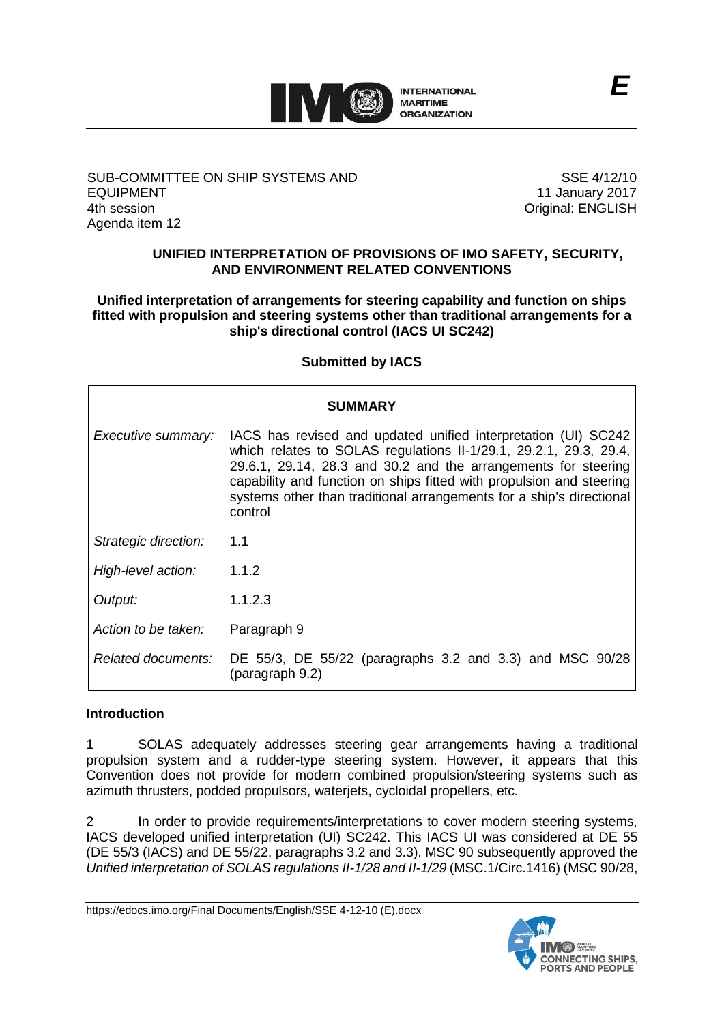

## SUB-COMMITTEE ON SHIP SYSTEMS AND EQUIPMENT 4th session Agenda item 12

SSE 4/12/10 11 January 2017 Original: ENGLISH

## **UNIFIED INTERPRETATION OF PROVISIONS OF IMO SAFETY, SECURITY, AND ENVIRONMENT RELATED CONVENTIONS**

### **Unified interpretation of arrangements for steering capability and function on ships fitted with propulsion and steering systems other than traditional arrangements for a ship's directional control (IACS UI SC242)**

## **Submitted by IACS**

| <b>SUMMARY</b>       |                                                                                                                                                                                                                                                                                                                                                                  |
|----------------------|------------------------------------------------------------------------------------------------------------------------------------------------------------------------------------------------------------------------------------------------------------------------------------------------------------------------------------------------------------------|
| Executive summary:   | IACS has revised and updated unified interpretation (UI) SC242<br>which relates to SOLAS regulations II-1/29.1, 29.2.1, 29.3, 29.4,<br>29.6.1, 29.14, 28.3 and 30.2 and the arrangements for steering<br>capability and function on ships fitted with propulsion and steering<br>systems other than traditional arrangements for a ship's directional<br>control |
| Strategic direction: | 1.1                                                                                                                                                                                                                                                                                                                                                              |
| High-level action:   | 1.1.2                                                                                                                                                                                                                                                                                                                                                            |
| Output:              | 1.1.2.3                                                                                                                                                                                                                                                                                                                                                          |
| Action to be taken:  | Paragraph 9                                                                                                                                                                                                                                                                                                                                                      |
| Related documents:   | DE 55/3, DE 55/22 (paragraphs 3.2 and 3.3) and MSC 90/28<br>(paragraph 9.2)                                                                                                                                                                                                                                                                                      |

# **Introduction**

1 SOLAS adequately addresses steering gear arrangements having a traditional propulsion system and a rudder-type steering system. However, it appears that this Convention does not provide for modern combined propulsion/steering systems such as azimuth thrusters, podded propulsors, waterjets, cycloidal propellers, etc.

2 In order to provide requirements/interpretations to cover modern steering systems, IACS developed unified interpretation (UI) SC242. This IACS UI was considered at DE 55 (DE 55/3 (IACS) and DE 55/22, paragraphs 3.2 and 3.3). MSC 90 subsequently approved the *Unified interpretation of SOLAS regulations II-1/28 and II-1/29* (MSC.1/Circ.1416) (MSC 90/28,

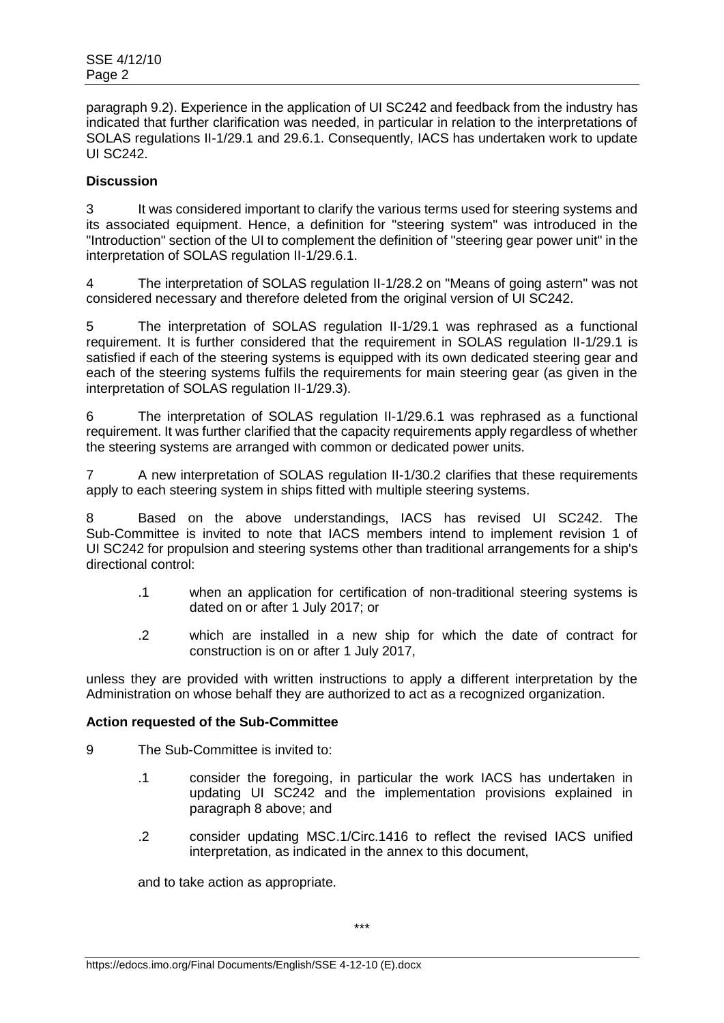paragraph 9.2). Experience in the application of UI SC242 and feedback from the industry has indicated that further clarification was needed, in particular in relation to the interpretations of SOLAS regulations II-1/29.1 and 29.6.1. Consequently, IACS has undertaken work to update UI SC242.

## **Discussion**

3 It was considered important to clarify the various terms used for steering systems and its associated equipment. Hence, a definition for "steering system" was introduced in the "Introduction" section of the UI to complement the definition of "steering gear power unit" in the interpretation of SOLAS regulation II-1/29.6.1.

4 The interpretation of SOLAS regulation II-1/28.2 on "Means of going astern" was not considered necessary and therefore deleted from the original version of UI SC242.

5 The interpretation of SOLAS regulation II-1/29.1 was rephrased as a functional requirement. It is further considered that the requirement in SOLAS regulation II-1/29.1 is satisfied if each of the steering systems is equipped with its own dedicated steering gear and each of the steering systems fulfils the requirements for main steering gear (as given in the interpretation of SOLAS regulation II-1/29.3).

6 The interpretation of SOLAS regulation II-1/29.6.1 was rephrased as a functional requirement. It was further clarified that the capacity requirements apply regardless of whether the steering systems are arranged with common or dedicated power units.

7 A new interpretation of SOLAS regulation II-1/30.2 clarifies that these requirements apply to each steering system in ships fitted with multiple steering systems.

8 Based on the above understandings, IACS has revised UI SC242. The Sub-Committee is invited to note that IACS members intend to implement revision 1 of UI SC242 for propulsion and steering systems other than traditional arrangements for a ship's directional control:

- .1 when an application for certification of non-traditional steering systems is dated on or after 1 July 2017; or
- .2 which are installed in a new ship for which the date of contract for construction is on or after 1 July 2017,

unless they are provided with written instructions to apply a different interpretation by the Administration on whose behalf they are authorized to act as a recognized organization.

## **Action requested of the Sub-Committee**

9 The Sub-Committee is invited to:

- .1 consider the foregoing, in particular the work IACS has undertaken in updating UI SC242 and the implementation provisions explained in paragraph 8 above; and
- .2 consider updating MSC.1/Circ.1416 to reflect the revised IACS unified interpretation, as indicated in the annex to this document,

and to take action as appropriate.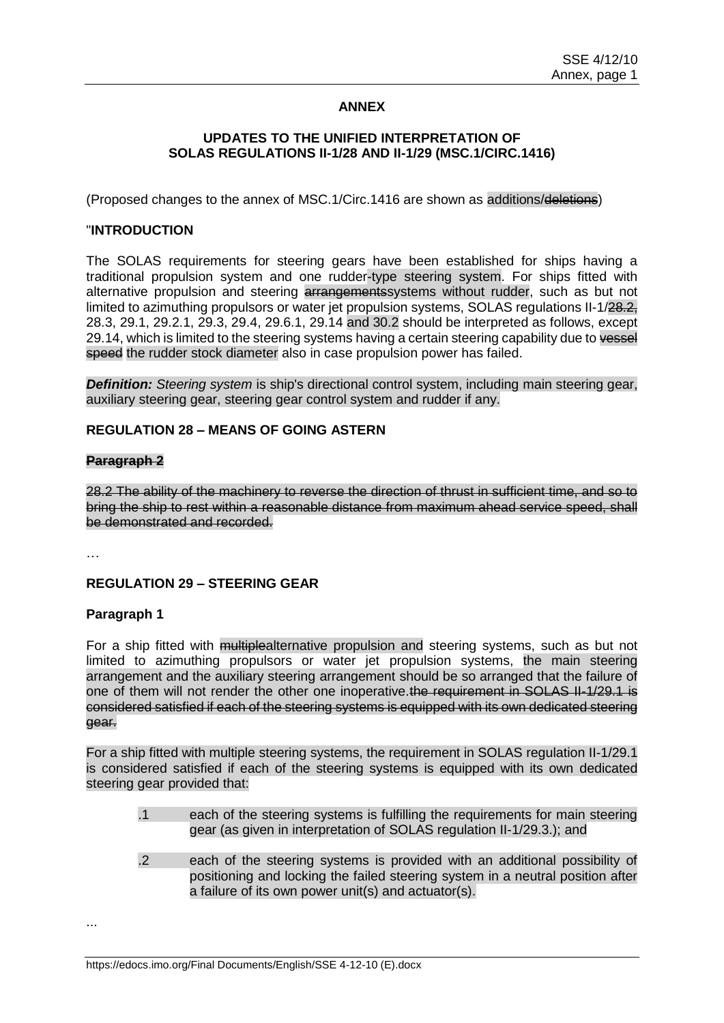## **ANNEX**

### **UPDATES TO THE UNIFIED INTERPRETATION OF SOLAS REGULATIONS II-1/28 AND II-1/29 (MSC.1/CIRC.1416)**

(Proposed changes to the annex of MSC.1/Circ.1416 are shown as additions/deletions)

### "**INTRODUCTION**

The SOLAS requirements for steering gears have been established for ships having a traditional propulsion system and one rudder-type steering system. For ships fitted with alternative propulsion and steering arrangements systems without rudder, such as but not limited to azimuthing propulsors or water jet propulsion systems, SOLAS regulations II-1/28.2, 28.3, 29.1, 29.2.1, 29.3, 29.4, 29.6.1, 29.14 and 30.2 should be interpreted as follows, except 29.14, which is limited to the steering systems having a certain steering capability due to vessel speed the rudder stock diameter also in case propulsion power has failed.

**Definition:** *Steering system* is ship's directional control system, including main steering gear, auxiliary steering gear, steering gear control system and rudder if any.

#### **REGULATION 28 – MEANS OF GOING ASTERN**

#### **Paragraph 2**

28.2 The ability of the machinery to reverse the direction of thrust in sufficient time, and so to bring the ship to rest within a reasonable distance from maximum ahead service speed, shall be demonstrated and recorded.

…

#### **REGULATION 29 – STEERING GEAR**

#### **Paragraph 1**

For a ship fitted with multiplealternative propulsion and steering systems, such as but not limited to azimuthing propulsors or water jet propulsion systems, the main steering arrangement and the auxiliary steering arrangement should be so arranged that the failure of one of them will not render the other one inoperative.the requirement in SOLAS II-1/29.1 is considered satisfied if each of the steering systems is equipped with its own dedicated steering gear.

For a ship fitted with multiple steering systems, the requirement in SOLAS regulation II-1/29.1 is considered satisfied if each of the steering systems is equipped with its own dedicated steering gear provided that:

- .1 each of the steering systems is fulfilling the requirements for main steering gear (as given in interpretation of SOLAS regulation II-1/29.3.); and
- .2 each of the steering systems is provided with an additional possibility of positioning and locking the failed steering system in a neutral position after a failure of its own power unit(s) and actuator(s).

...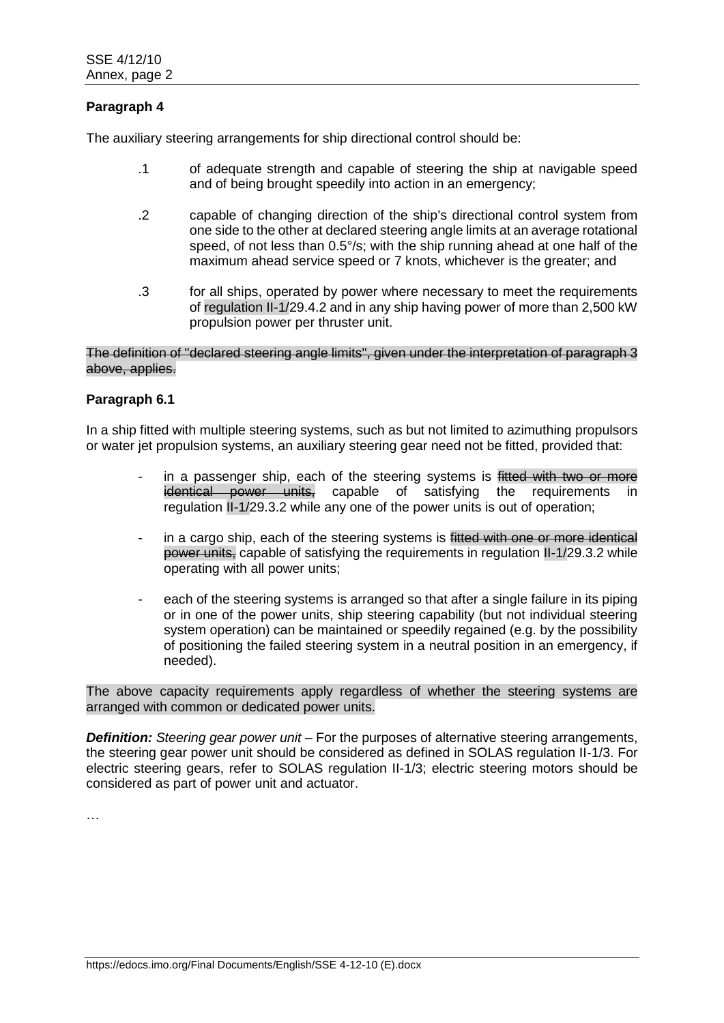## **Paragraph 4**

The auxiliary steering arrangements for ship directional control should be:

- .1 of adequate strength and capable of steering the ship at navigable speed and of being brought speedily into action in an emergency;
- .2 capable of changing direction of the ship's directional control system from one side to the other at declared steering angle limits at an average rotational speed, of not less than 0.5°/s; with the ship running ahead at one half of the maximum ahead service speed or 7 knots, whichever is the greater; and
- .3 for all ships, operated by power where necessary to meet the requirements of regulation II-1/29.4.2 and in any ship having power of more than 2,500 kW propulsion power per thruster unit.

### The definition of "declared steering angle limits", given under the interpretation of paragraph 3 above, applies.

### **Paragraph 6.1**

In a ship fitted with multiple steering systems, such as but not limited to azimuthing propulsors or water jet propulsion systems, an auxiliary steering gear need not be fitted, provided that:

- in a passenger ship, each of the steering systems is fitted with two or more identical power units, capable of satisfying the requirements in regulation II-1/29.3.2 while any one of the power units is out of operation;
- in a cargo ship, each of the steering systems is fitted with one or more identical power units, capable of satisfying the requirements in regulation II-1/29.3.2 while operating with all power units;
- each of the steering systems is arranged so that after a single failure in its piping or in one of the power units, ship steering capability (but not individual steering system operation) can be maintained or speedily regained (e.g. by the possibility of positioning the failed steering system in a neutral position in an emergency, if needed).

The above capacity requirements apply regardless of whether the steering systems are arranged with common or dedicated power units.

*Definition: Steering gear power unit –* For the purposes of alternative steering arrangements, the steering gear power unit should be considered as defined in SOLAS regulation II-1/3. For electric steering gears, refer to SOLAS regulation II-1/3; electric steering motors should be considered as part of power unit and actuator.

…